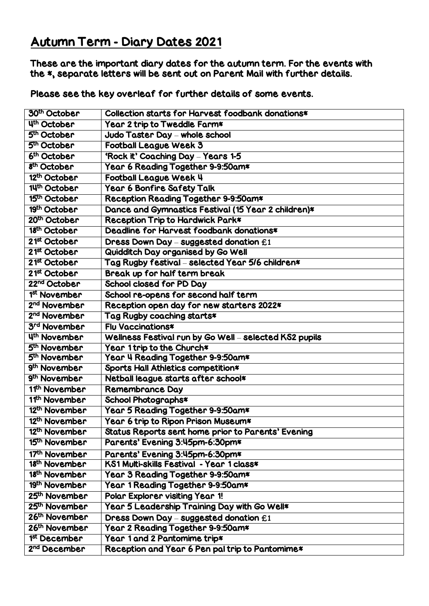## Autumn Term - Diary Dates 2021

These are the important diary dates for the autumn term. For the events with the \*, separate letters will be sent out on Parent Mail with further details.

Please see the key overleaf for further details of some events.

| 30 <sup>th</sup> October  | Collection starts for Harvest foodbank donations*      |
|---------------------------|--------------------------------------------------------|
| 4th October               | Year 2 trip to Tweddle Farm*                           |
| 5 <sup>th</sup> October   | Judo Taster Day - whole school                         |
| 5 <sup>th</sup> October   | <b>Football League Week 3</b>                          |
| 6th October               | 'Rock it' Coaching Day - Years 1-5                     |
| 8 <sup>th</sup> October   | Year 6 Reading Together 9-9:50am*                      |
| 12th October              | Football League Week 4                                 |
| 14th October              | Year 6 Bonfire Safety Talk                             |
| 15th October              | Reception Reading Together 9-9:50am*                   |
| 19th October              | Dance and Gymnastics Festival (15 Year 2 children)*    |
| 20th October              | Reception Trip to Hardwick Park*                       |
| 18th October              | Deadline for Harvest foodbank donations*               |
| 21 <sup>st</sup> October  | Dress Down Day – suggested donation $f$ 1              |
| 21 <sup>st</sup> October  | Quidditch Day organised by Go Well                     |
| 21 <sup>st</sup> October  | Tag Rugby festival - selected Year 5/6 children*       |
| 21 <sup>st</sup> October  | Break up for half term break                           |
| 22 <sup>nd</sup> October  | School closed for PD Day                               |
| 1 <sup>st</sup> November  | School re-opens for second half term                   |
| 2 <sup>nd</sup> November  | Reception open day for new starters 2022*              |
| 2 <sup>nd</sup> November  | Tag Rugby coaching starts*                             |
| 3 <sup>rd</sup> November  | <b>Flu Vaccinations*</b>                               |
| 4th November              | Wellness Festival run by Go Well - selected KS2 pupils |
| 5 <sup>th</sup> November  | Year 1 trip to the Church*                             |
| 5 <sup>th</sup> November  | Year 4 Reading Together 9-9:50am*                      |
| 9th November              | Sports Hall Athletics competition*                     |
| 9 <sup>th</sup> November  | Netball league starts after school*                    |
| 11 <sup>th</sup> November | <b>Remembrance Day</b>                                 |
| 11 <sup>th</sup> November | School Photographs*                                    |
| 12 <sup>th</sup> November | Year 5 Reading Together 9-9:50am*                      |
| 12 <sup>th</sup> November | Year 6 trip to Ripon Prison Museum*                    |
| 12 <sup>th</sup> November | Status Reports sent home prior to Parents' Evening     |
| 15 <sup>th</sup> November | Parents' Evening 3:45pm-6:30pm*                        |
| 17 <sup>th</sup> November | Parents' Evening 3:45pm-6:30pm*                        |
| 18 <sup>th</sup> November | KS1 Multi-skills Festival - Year 1 class*              |
| 18 <sup>th</sup> November | Year 3 Reading Together 9-9:50am*                      |
| 19 <sup>th</sup> November | Year 1 Reading Together 9-9:50am*                      |
| 25 <sup>th</sup> November | Polar Explorer visiting Year 1!                        |
| 25 <sup>th</sup> November | Year 5 Leadership Training Day with Go Well*           |
| 26th November             | Dress Down Day - suggested donation £1                 |
| 26 <sup>th</sup> November | Year 2 Reading Together 9-9:50am*                      |
| 1 <sup>st</sup> December  | Year 1 and 2 Pantomime trip*                           |
| 2 <sup>nd</sup> December  | Reception and Year 6 Pen pal trip to Pantomime*        |